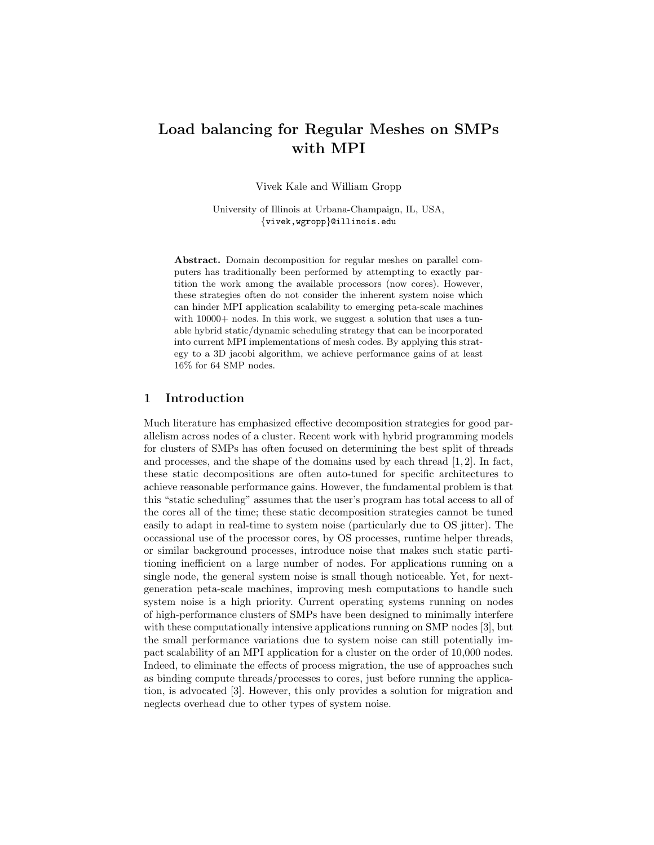# Load balancing for Regular Meshes on SMPs with MPI

Vivek Kale and William Gropp

University of Illinois at Urbana-Champaign, IL, USA, {vivek,wgropp}@illinois.edu

Abstract. Domain decomposition for regular meshes on parallel computers has traditionally been performed by attempting to exactly partition the work among the available processors (now cores). However, these strategies often do not consider the inherent system noise which can hinder MPI application scalability to emerging peta-scale machines with  $10000+$  nodes. In this work, we suggest a solution that uses a tunable hybrid static/dynamic scheduling strategy that can be incorporated into current MPI implementations of mesh codes. By applying this strategy to a 3D jacobi algorithm, we achieve performance gains of at least 16% for 64 SMP nodes.

# 1 Introduction

Much literature has emphasized effective decomposition strategies for good parallelism across nodes of a cluster. Recent work with hybrid programming models for clusters of SMPs has often focused on determining the best split of threads and processes, and the shape of the domains used by each thread  $[1, 2]$ . In fact, these static decompositions are often auto-tuned for specific architectures to achieve reasonable performance gains. However, the fundamental problem is that this "static scheduling" assumes that the user's program has total access to all of the cores all of the time; these static decomposition strategies cannot be tuned easily to adapt in real-time to system noise (particularly due to OS jitter). The occassional use of the processor cores, by OS processes, runtime helper threads, or similar background processes, introduce noise that makes such static partitioning inefficient on a large number of nodes. For applications running on a single node, the general system noise is small though noticeable. Yet, for nextgeneration peta-scale machines, improving mesh computations to handle such system noise is a high priority. Current operating systems running on nodes of high-performance clusters of SMPs have been designed to minimally interfere with these computationally intensive applications running on SMP nodes [3], but the small performance variations due to system noise can still potentially impact scalability of an MPI application for a cluster on the order of 10,000 nodes. Indeed, to eliminate the effects of process migration, the use of approaches such as binding compute threads/processes to cores, just before running the application, is advocated [3]. However, this only provides a solution for migration and neglects overhead due to other types of system noise.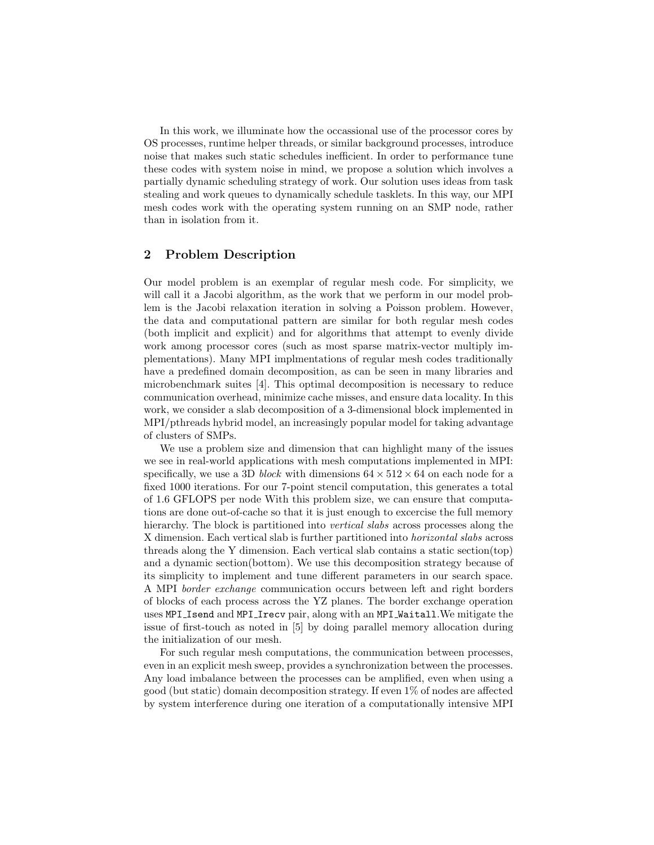In this work, we illuminate how the occassional use of the processor cores by OS processes, runtime helper threads, or similar background processes, introduce noise that makes such static schedules inefficient. In order to performance tune these codes with system noise in mind, we propose a solution which involves a partially dynamic scheduling strategy of work. Our solution uses ideas from task stealing and work queues to dynamically schedule tasklets. In this way, our MPI mesh codes work with the operating system running on an SMP node, rather than in isolation from it.

# 2 Problem Description

Our model problem is an exemplar of regular mesh code. For simplicity, we will call it a Jacobi algorithm, as the work that we perform in our model problem is the Jacobi relaxation iteration in solving a Poisson problem. However, the data and computational pattern are similar for both regular mesh codes (both implicit and explicit) and for algorithms that attempt to evenly divide work among processor cores (such as most sparse matrix-vector multiply implementations). Many MPI implmentations of regular mesh codes traditionally have a predefined domain decomposition, as can be seen in many libraries and microbenchmark suites [4]. This optimal decomposition is necessary to reduce communication overhead, minimize cache misses, and ensure data locality. In this work, we consider a slab decomposition of a 3-dimensional block implemented in MPI/pthreads hybrid model, an increasingly popular model for taking advantage of clusters of SMPs.

We use a problem size and dimension that can highlight many of the issues we see in real-world applications with mesh computations implemented in MPI: specifically, we use a 3D *block* with dimensions  $64 \times 512 \times 64$  on each node for a fixed 1000 iterations. For our 7-point stencil computation, this generates a total of 1.6 GFLOPS per node With this problem size, we can ensure that computations are done out-of-cache so that it is just enough to excercise the full memory hierarchy. The block is partitioned into *vertical slabs* across processes along the X dimension. Each vertical slab is further partitioned into *horizontal slabs* across threads along the Y dimension. Each vertical slab contains a static section(top) and a dynamic section(bottom). We use this decomposition strategy because of its simplicity to implement and tune different parameters in our search space. A MPI border exchange communication occurs between left and right borders of blocks of each process across the YZ planes. The border exchange operation uses MPI Isend and MPI Irecv pair, along with an MPI Waitall.We mitigate the issue of first-touch as noted in [5] by doing parallel memory allocation during the initialization of our mesh.

For such regular mesh computations, the communication between processes, even in an explicit mesh sweep, provides a synchronization between the processes. Any load imbalance between the processes can be amplified, even when using a good (but static) domain decomposition strategy. If even 1% of nodes are affected by system interference during one iteration of a computationally intensive MPI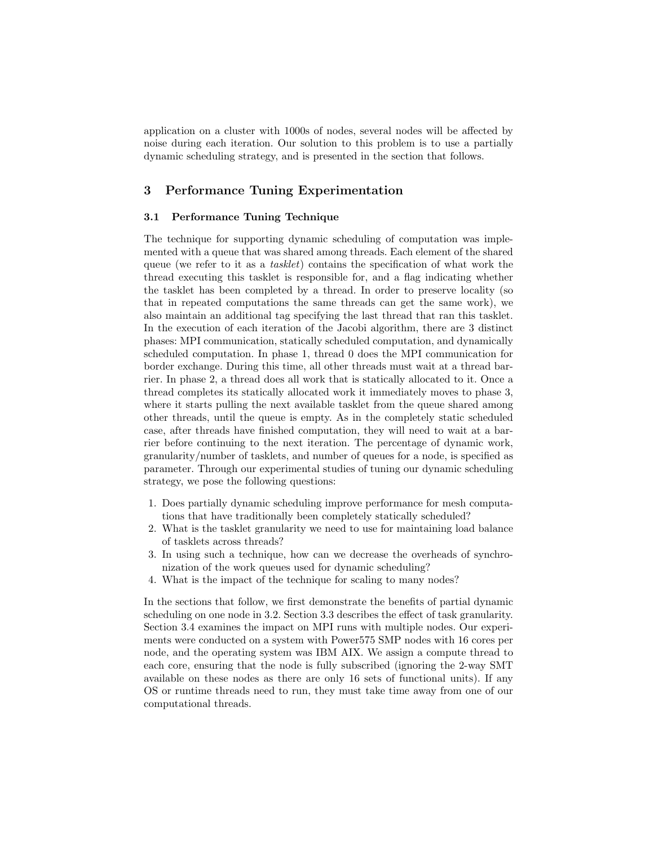application on a cluster with 1000s of nodes, several nodes will be affected by noise during each iteration. Our solution to this problem is to use a partially dynamic scheduling strategy, and is presented in the section that follows.

# 3 Performance Tuning Experimentation

#### 3.1 Performance Tuning Technique

The technique for supporting dynamic scheduling of computation was implemented with a queue that was shared among threads. Each element of the shared queue (we refer to it as a tasklet) contains the specification of what work the thread executing this tasklet is responsible for, and a flag indicating whether the tasklet has been completed by a thread. In order to preserve locality (so that in repeated computations the same threads can get the same work), we also maintain an additional tag specifying the last thread that ran this tasklet. In the execution of each iteration of the Jacobi algorithm, there are 3 distinct phases: MPI communication, statically scheduled computation, and dynamically scheduled computation. In phase 1, thread 0 does the MPI communication for border exchange. During this time, all other threads must wait at a thread barrier. In phase 2, a thread does all work that is statically allocated to it. Once a thread completes its statically allocated work it immediately moves to phase 3, where it starts pulling the next available tasklet from the queue shared among other threads, until the queue is empty. As in the completely static scheduled case, after threads have finished computation, they will need to wait at a barrier before continuing to the next iteration. The percentage of dynamic work, granularity/number of tasklets, and number of queues for a node, is specified as parameter. Through our experimental studies of tuning our dynamic scheduling strategy, we pose the following questions:

- 1. Does partially dynamic scheduling improve performance for mesh computations that have traditionally been completely statically scheduled?
- 2. What is the tasklet granularity we need to use for maintaining load balance of tasklets across threads?
- 3. In using such a technique, how can we decrease the overheads of synchronization of the work queues used for dynamic scheduling?
- 4. What is the impact of the technique for scaling to many nodes?

In the sections that follow, we first demonstrate the benefits of partial dynamic scheduling on one node in 3.2. Section 3.3 describes the effect of task granularity. Section 3.4 examines the impact on MPI runs with multiple nodes. Our experiments were conducted on a system with Power575 SMP nodes with 16 cores per node, and the operating system was IBM AIX. We assign a compute thread to each core, ensuring that the node is fully subscribed (ignoring the 2-way SMT available on these nodes as there are only 16 sets of functional units). If any OS or runtime threads need to run, they must take time away from one of our computational threads.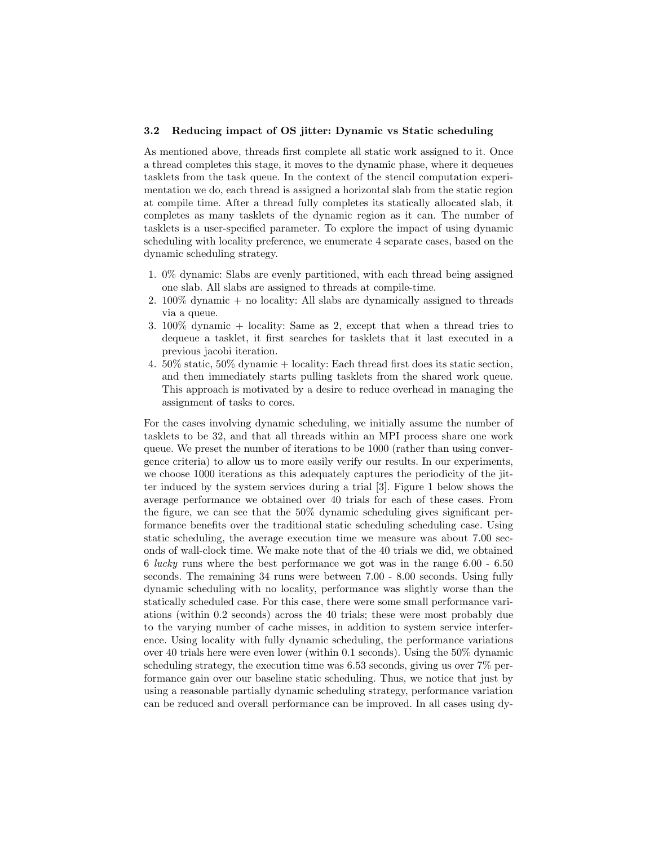#### 3.2 Reducing impact of OS jitter: Dynamic vs Static scheduling

As mentioned above, threads first complete all static work assigned to it. Once a thread completes this stage, it moves to the dynamic phase, where it dequeues tasklets from the task queue. In the context of the stencil computation experimentation we do, each thread is assigned a horizontal slab from the static region at compile time. After a thread fully completes its statically allocated slab, it completes as many tasklets of the dynamic region as it can. The number of tasklets is a user-specified parameter. To explore the impact of using dynamic scheduling with locality preference, we enumerate 4 separate cases, based on the dynamic scheduling strategy.

- 1. 0% dynamic: Slabs are evenly partitioned, with each thread being assigned one slab. All slabs are assigned to threads at compile-time.
- 2. 100% dynamic + no locality: All slabs are dynamically assigned to threads via a queue.
- 3. 100% dynamic + locality: Same as 2, except that when a thread tries to dequeue a tasklet, it first searches for tasklets that it last executed in a previous jacobi iteration.
- 4. 50% static, 50% dynamic + locality: Each thread first does its static section, and then immediately starts pulling tasklets from the shared work queue. This approach is motivated by a desire to reduce overhead in managing the assignment of tasks to cores.

For the cases involving dynamic scheduling, we initially assume the number of tasklets to be 32, and that all threads within an MPI process share one work queue. We preset the number of iterations to be 1000 (rather than using convergence criteria) to allow us to more easily verify our results. In our experiments, we choose 1000 iterations as this adequately captures the periodicity of the jitter induced by the system services during a trial [3]. Figure 1 below shows the average performance we obtained over 40 trials for each of these cases. From the figure, we can see that the 50% dynamic scheduling gives significant performance benefits over the traditional static scheduling scheduling case. Using static scheduling, the average execution time we measure was about 7.00 seconds of wall-clock time. We make note that of the 40 trials we did, we obtained 6 lucky runs where the best performance we got was in the range 6.00 - 6.50 seconds. The remaining 34 runs were between 7.00 - 8.00 seconds. Using fully dynamic scheduling with no locality, performance was slightly worse than the statically scheduled case. For this case, there were some small performance variations (within 0.2 seconds) across the 40 trials; these were most probably due to the varying number of cache misses, in addition to system service interference. Using locality with fully dynamic scheduling, the performance variations over 40 trials here were even lower (within 0.1 seconds). Using the 50% dynamic scheduling strategy, the execution time was 6.53 seconds, giving us over 7% performance gain over our baseline static scheduling. Thus, we notice that just by using a reasonable partially dynamic scheduling strategy, performance variation can be reduced and overall performance can be improved. In all cases using dy-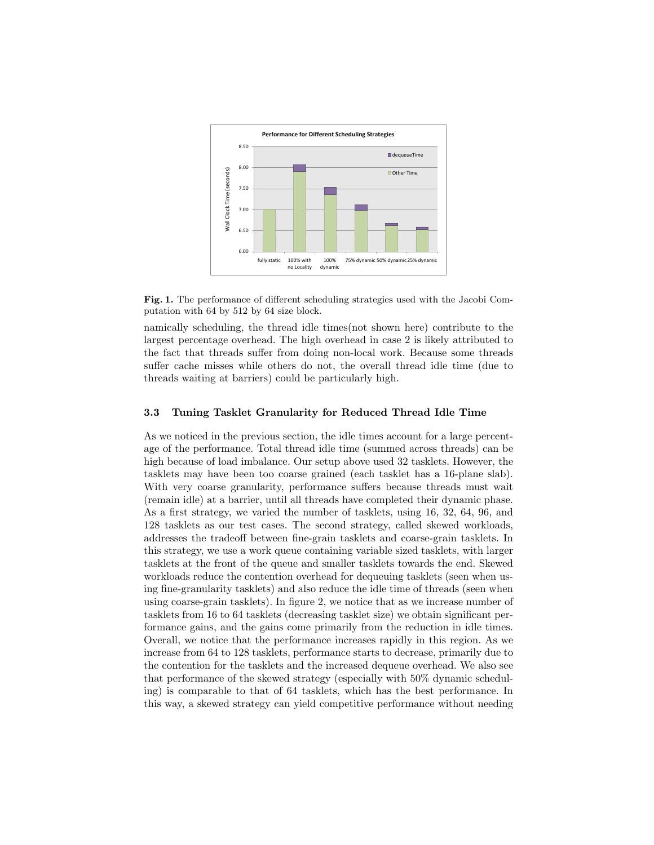

Fig. 1. The performance of different scheduling strategies used with the Jacobi Computation with 64 by 512 by 64 size block.

namically scheduling, the thread idle times(not shown here) contribute to the largest percentage overhead. The high overhead in case 2 is likely attributed to the fact that threads suffer from doing non-local work. Because some threads suffer cache misses while others do not, the overall thread idle time (due to threads waiting at barriers) could be particularly high.

#### 3.3 Tuning Tasklet Granularity for Reduced Thread Idle Time

As we noticed in the previous section, the idle times account for a large percentage of the performance. Total thread idle time (summed across threads) can be high because of load imbalance. Our setup above used 32 tasklets. However, the tasklets may have been too coarse grained (each tasklet has a 16-plane slab). With very coarse granularity, performance suffers because threads must wait (remain idle) at a barrier, until all threads have completed their dynamic phase. As a first strategy, we varied the number of tasklets, using 16, 32, 64, 96, and 128 tasklets as our test cases. The second strategy, called skewed workloads, addresses the tradeoff between fine-grain tasklets and coarse-grain tasklets. In this strategy, we use a work queue containing variable sized tasklets, with larger tasklets at the front of the queue and smaller tasklets towards the end. Skewed workloads reduce the contention overhead for dequeuing tasklets (seen when using fine-granularity tasklets) and also reduce the idle time of threads (seen when using coarse-grain tasklets). In figure 2, we notice that as we increase number of tasklets from 16 to 64 tasklets (decreasing tasklet size) we obtain significant performance gains, and the gains come primarily from the reduction in idle times. Overall, we notice that the performance increases rapidly in this region. As we increase from 64 to 128 tasklets, performance starts to decrease, primarily due to the contention for the tasklets and the increased dequeue overhead. We also see that performance of the skewed strategy (especially with 50% dynamic scheduling) is comparable to that of 64 tasklets, which has the best performance. In this way, a skewed strategy can yield competitive performance without needing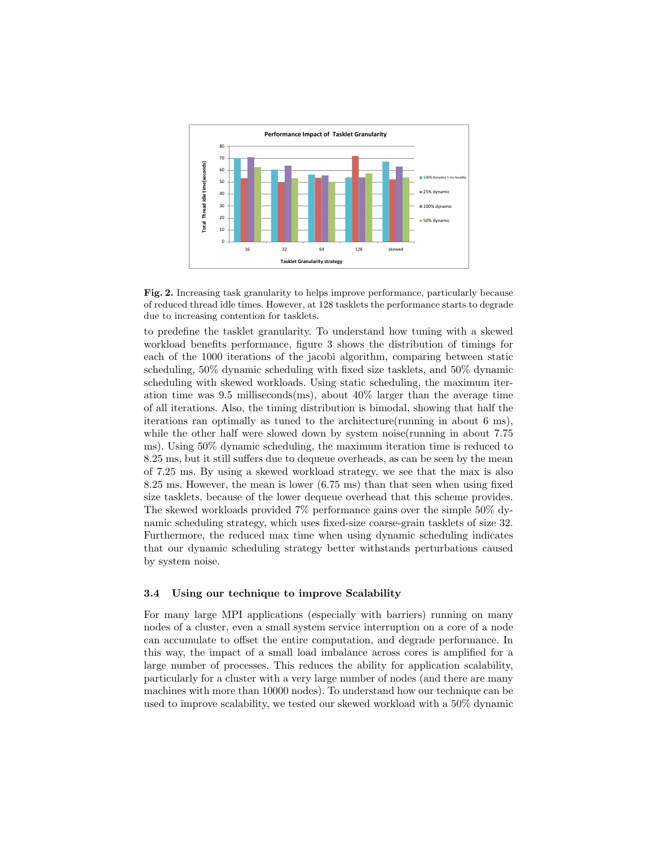



to predefine the tasklet granularity. To understand how tuning with a skewed workload benefits performance, figure 3 shows the distribution of timings for each of the 1000 iterations of the jacobi algorithm, comparing between static scheduling, 50% dynamic scheduling with fixed size tasklets, and 50% dynamic scheduling with skewed workloads. Using static scheduling, the maximum iteration time was 9.5 milliseconds(ms), about  $40\%$  larger than the average time of all iterations. Also, the timing distribution is bimodal, showing that half the iterations ran optimally as tuned to the architecture(running in about 6 ms), while the other half were slowed down by system noise(running in about 7.75) ms). Using 50% dynamic scheduling, the maximum iteration time is reduced to 8.25 ms, but it still suffers due to dequeue overheads, as can be seen by the mean of 7.25 ms. By using a skewed workload strategy, we see that the max is also 8.25 ms. However, the mean is lower (6.75 ms) than that seen when using fixed size tasklets, because of the lower dequeue overhead that this scheme provides. The skewed workloads provided 7% performance gains over the simple 50% dynamic scheduling strategy, which uses fixed-size coarse-grain tasklets of size 32. Furthermore, the reduced max time when using dynamic scheduling indicates that our dynamic scheduling strategy better withstands perturbations caused by system noise.

#### 3.4 Using our technique to improve Scalability

For many large MPI applications (especially with barriers) running on many nodes of a cluster, even a small system service interruption on a core of a node can accumulate to offset the entire computation, and degrade performance. In this way, the impact of a small load imbalance across cores is amplified for a large number of processes. This reduces the ability for application scalability, particularly for a cluster with a very large number of nodes (and there are many machines with more than 10000 nodes). To understand how our technique can be used to improve scalability, we tested our skewed workload with a 50% dynamic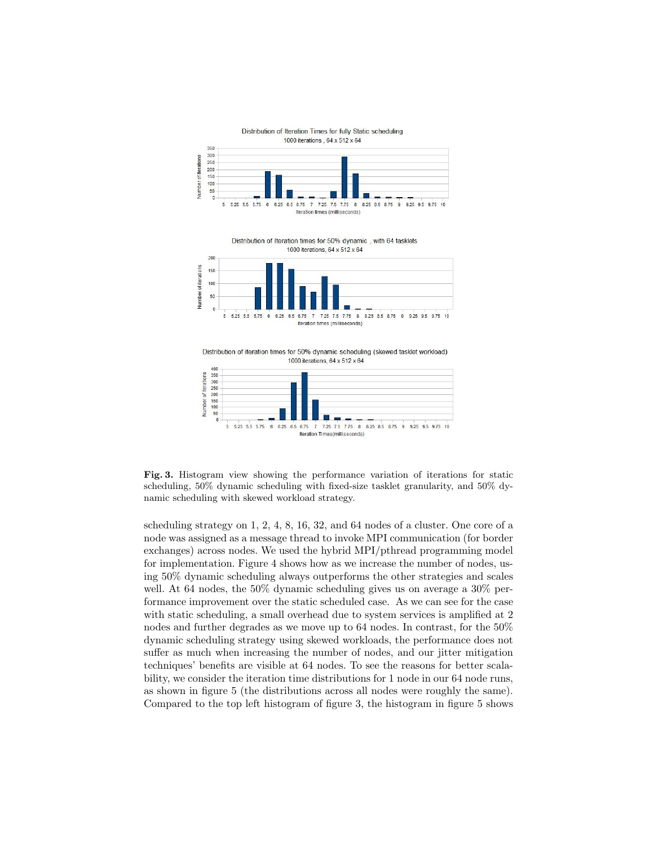

Distribution of Iteration times for 50% dynamic, with 64 tasklets 1000 iterations, 64 x 512 x 64



Distribution of iteration times for 50% dynamic scheduling (skewed tasklet workload) 1000 iterations, 64 x 512 x 64



Fig. 3. Histogram view showing the performance variation of iterations for static scheduling, 50% dynamic scheduling with fixed-size tasklet granularity, and 50% dynamic scheduling with skewed workload strategy.

scheduling strategy on 1, 2, 4, 8, 16, 32, and 64 nodes of a cluster. One core of a node was assigned as a message thread to invoke MPI communication (for border exchanges) across nodes. We used the hybrid MPI/pthread programming model for implementation. Figure 4 shows how as we increase the number of nodes, using 50% dynamic scheduling always outperforms the other strategies and scales well. At 64 nodes, the 50% dynamic scheduling gives us on average a 30% performance improvement over the static scheduled case. As we can see for the case with static scheduling, a small overhead due to system services is amplified at 2 nodes and further degrades as we move up to 64 nodes. In contrast, for the 50% dynamic scheduling strategy using skewed workloads, the performance does not suffer as much when increasing the number of nodes, and our jitter mitigation techniques' benefits are visible at 64 nodes. To see the reasons for better scalability, we consider the iteration time distributions for 1 node in our 64 node runs, as shown in figure 5 (the distributions across all nodes were roughly the same). Compared to the top left histogram of figure 3, the histogram in figure 5 shows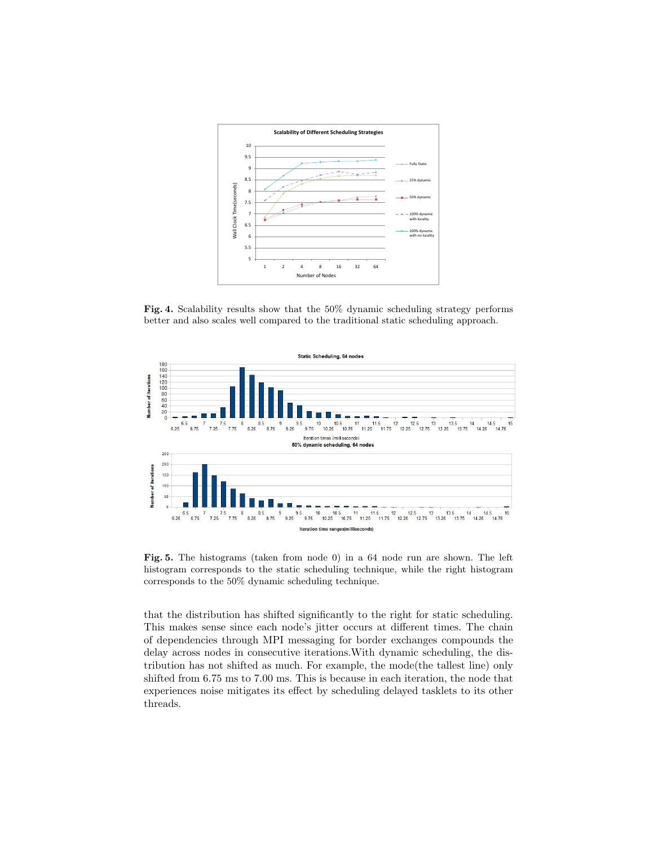

Fig. 4. Scalability results show that the 50% dynamic scheduling strategy performs better and also scales well compared to the traditional static scheduling approach.



Fig. 5. The histograms (taken from node 0) in a 64 node run are shown. The left histogram corresponds to the static scheduling technique, while the right histogram corresponds to the 50% dynamic scheduling technique.

that the distribution has shifted significantly to the right for static scheduling. This makes sense since each node's jitter occurs at different times. The chain of dependencies through MPI messaging for border exchanges compounds the delay across nodes in consecutive iterations.With dynamic scheduling, the distribution has not shifted as much. For example, the mode(the tallest line) only shifted from 6.75 ms to 7.00 ms. This is because in each iteration, the node that experiences noise mitigates its effect by scheduling delayed tasklets to its other threads.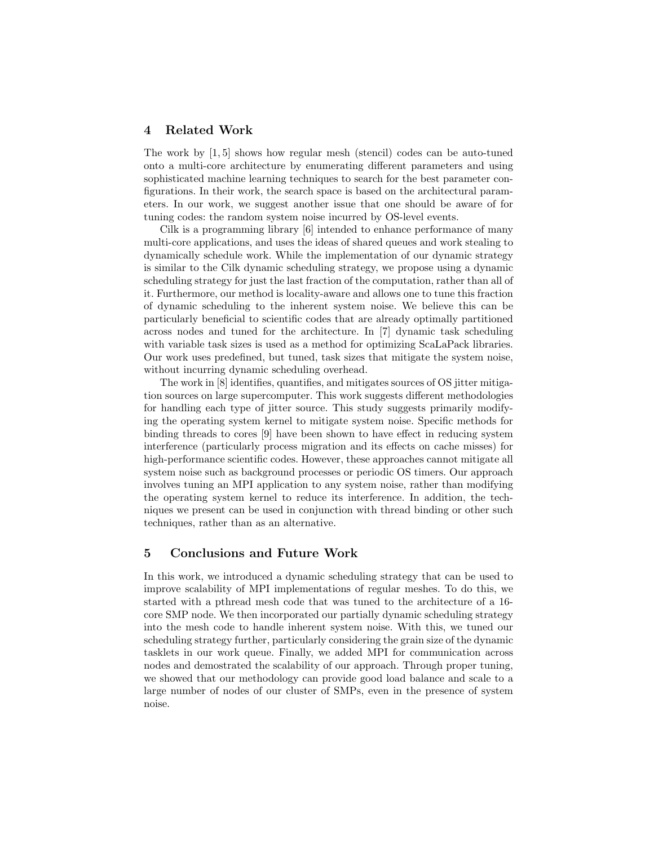## 4 Related Work

The work by [1, 5] shows how regular mesh (stencil) codes can be auto-tuned onto a multi-core architecture by enumerating different parameters and using sophisticated machine learning techniques to search for the best parameter configurations. In their work, the search space is based on the architectural parameters. In our work, we suggest another issue that one should be aware of for tuning codes: the random system noise incurred by OS-level events.

Cilk is a programming library [6] intended to enhance performance of many multi-core applications, and uses the ideas of shared queues and work stealing to dynamically schedule work. While the implementation of our dynamic strategy is similar to the Cilk dynamic scheduling strategy, we propose using a dynamic scheduling strategy for just the last fraction of the computation, rather than all of it. Furthermore, our method is locality-aware and allows one to tune this fraction of dynamic scheduling to the inherent system noise. We believe this can be particularly beneficial to scientific codes that are already optimally partitioned across nodes and tuned for the architecture. In [7] dynamic task scheduling with variable task sizes is used as a method for optimizing ScaLaPack libraries. Our work uses predefined, but tuned, task sizes that mitigate the system noise, without incurring dynamic scheduling overhead.

The work in [8] identifies, quantifies, and mitigates sources of OS jitter mitigation sources on large supercomputer. This work suggests different methodologies for handling each type of jitter source. This study suggests primarily modifying the operating system kernel to mitigate system noise. Specific methods for binding threads to cores [9] have been shown to have effect in reducing system interference (particularly process migration and its effects on cache misses) for high-performance scientific codes. However, these approaches cannot mitigate all system noise such as background processes or periodic OS timers. Our approach involves tuning an MPI application to any system noise, rather than modifying the operating system kernel to reduce its interference. In addition, the techniques we present can be used in conjunction with thread binding or other such techniques, rather than as an alternative.

## 5 Conclusions and Future Work

In this work, we introduced a dynamic scheduling strategy that can be used to improve scalability of MPI implementations of regular meshes. To do this, we started with a pthread mesh code that was tuned to the architecture of a 16 core SMP node. We then incorporated our partially dynamic scheduling strategy into the mesh code to handle inherent system noise. With this, we tuned our scheduling strategy further, particularly considering the grain size of the dynamic tasklets in our work queue. Finally, we added MPI for communication across nodes and demostrated the scalability of our approach. Through proper tuning, we showed that our methodology can provide good load balance and scale to a large number of nodes of our cluster of SMPs, even in the presence of system noise.